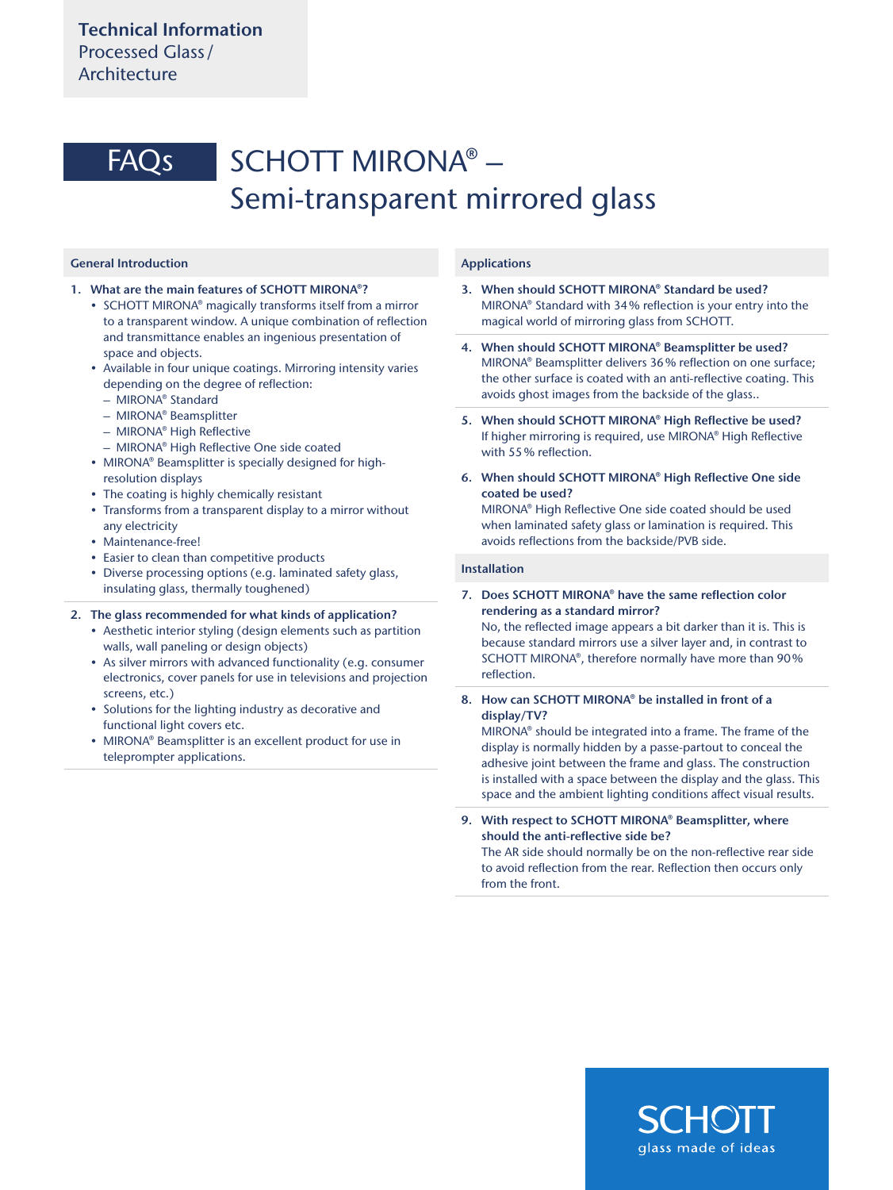# SCHOTT MIRONA® – Semi-transparent mirrored glass FAQs

# General Introduction

- 1. What are the main features of SCHOTT MIRONA®?
	- SCHOTT MIRONA® magically transforms itself from a mirror to a transparent window. A unique combination of reflection and transmittance enables an ingenious presentation of space and objects.
	- Available in four unique coatings. Mirroring intensity varies depending on the degree of reflection:
		- MIRONA® Standard
		- MIRONA® Beamsplitter
	- MIRONA® High Reflective
	- MIRONA® High Reflective One side coated
	- MIRONA® Beamsplitter is specially designed for highresolution displays
	- The coating is highly chemically resistant
	- Transforms from a transparent display to a mirror without any electricity
	- Maintenance-free!
	- Easier to clean than competitive products
	- Diverse processing options (e.g. laminated safety glass, insulating glass, thermally toughened)

### 2. The glass recommended for what kinds of application?

- Aesthetic interior styling (design elements such as partition walls, wall paneling or design objects)
- As silver mirrors with advanced functionality (e.g. consumer electronics, cover panels for use in televisions and projection screens, etc.)
- Solutions for the lighting industry as decorative and functional light covers etc.
- MIRONA® Beamsplitter is an excellent product for use in teleprompter applications.

# Applications

- 3. When should SCHOTT MIRONA® Standard be used? MIRONA® Standard with 34% reflection is your entry into the magical world of mirroring glass from SCHOTT.
- 4. When should SCHOTT MIRONA® Beamsplitter be used? MIRONA® Beamsplitter delivers 36% reflection on one surface; the other surface is coated with an anti-reflective coating. This avoids ghost images from the backside of the glass..
- 5. When should SCHOTT MIRONA® High Reflective be used? If higher mirroring is required, use MIRONA® High Reflective with 55% reflection.
- 6. When should SCHOTT MIRONA® High Reflective One side coated be used?

MIRONA® High Reflective One side coated should be used when laminated safety glass or lamination is required. This avoids reflections from the backside/PVB side.

### Installation

# 7. Does SCHOTT MIRONA® have the same reflection color rendering as a standard mirror?

No, the reflected image appears a bit darker than it is. This is because standard mirrors use a silver layer and, in contrast to SCHOTT MIRONA®, therefore normally have more than 90% reflection.

# 8. How can SCHOTT MIRONA® be installed in front of a display/TV?

MIRONA® should be integrated into a frame. The frame of the display is normally hidden by a passe-partout to conceal the adhesive joint between the frame and glass. The construction is installed with a space between the display and the glass. This space and the ambient lighting conditions affect visual results.

9. With respect to SCHOTT MIRONA® Beamsplitter, where should the anti-reflective side be?

The AR side should normally be on the non-reflective rear side to avoid reflection from the rear. Reflection then occurs only from the front.